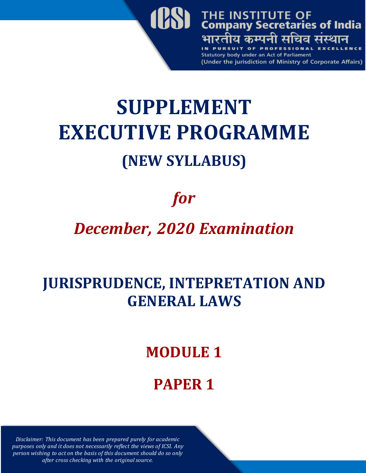

# **SUPPLEMENT EXECUTIVE PROGRAMME (NEW SYLLABUS)**

# *for*

## *December, 2020 Examination*

#### **JURISPRUDENCE, INTEPRETATION AND GENERAL LAWS**

#### **MODULE 1**

### **PAPER 1**

*Disclaimer: This document has been prepared purely for academic purposes only and it does not necessarily reflect the views of ICSI. Any person wishing to act on the basis of this document should do so only after cross checking with the original source.*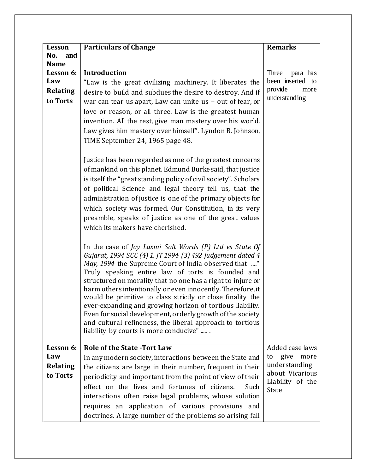| Lesson                    | <b>Particulars of Change</b>                                                                                                                                                                                                                                                                                                                                                                                                                                                                                                                                                                                                                                       | <b>Remarks</b>                      |
|---------------------------|--------------------------------------------------------------------------------------------------------------------------------------------------------------------------------------------------------------------------------------------------------------------------------------------------------------------------------------------------------------------------------------------------------------------------------------------------------------------------------------------------------------------------------------------------------------------------------------------------------------------------------------------------------------------|-------------------------------------|
| No.<br>and<br><b>Name</b> |                                                                                                                                                                                                                                                                                                                                                                                                                                                                                                                                                                                                                                                                    |                                     |
| Lesson 6:                 | <b>Introduction</b>                                                                                                                                                                                                                                                                                                                                                                                                                                                                                                                                                                                                                                                | Three<br>para has                   |
| Law                       | "Law is the great civilizing machinery. It liberates the                                                                                                                                                                                                                                                                                                                                                                                                                                                                                                                                                                                                           | been inserted to                    |
| <b>Relating</b>           | desire to build and subdues the desire to destroy. And if                                                                                                                                                                                                                                                                                                                                                                                                                                                                                                                                                                                                          | provide<br>more                     |
| to Torts                  | war can tear us apart, Law can unite us - out of fear, or                                                                                                                                                                                                                                                                                                                                                                                                                                                                                                                                                                                                          | understanding                       |
|                           | love or reason, or all three. Law is the greatest human                                                                                                                                                                                                                                                                                                                                                                                                                                                                                                                                                                                                            |                                     |
|                           | invention. All the rest, give man mastery over his world.                                                                                                                                                                                                                                                                                                                                                                                                                                                                                                                                                                                                          |                                     |
|                           | Law gives him mastery over himself". Lyndon B. Johnson,                                                                                                                                                                                                                                                                                                                                                                                                                                                                                                                                                                                                            |                                     |
|                           | TIME September 24, 1965 page 48.                                                                                                                                                                                                                                                                                                                                                                                                                                                                                                                                                                                                                                   |                                     |
|                           | Justice has been regarded as one of the greatest concerns<br>of mankind on this planet. Edmund Burke said, that justice<br>is itself the "great standing policy of civil society". Scholars<br>of political Science and legal theory tell us, that the<br>administration of justice is one of the primary objects for<br>which society was formed. Our Constitution, in its very<br>preamble, speaks of justice as one of the great values<br>which its makers have cherished.                                                                                                                                                                                     |                                     |
|                           | In the case of Jay Laxmi Salt Words $(P)$ Ltd vs State Of<br>Gujarat, 1994 SCC (4) 1, JT 1994 (3) 492 judgement dated 4<br>May, 1994 the Supreme Court of India observed that "<br>Truly speaking entire law of torts is founded and<br>structured on morality that no one has a right to injure or<br>harm others intentionally or even innocently. Therefore, it<br>would be primitive to class strictly or close finality the<br>ever-expanding and growing horizon of tortious liability.<br>Even for social development, orderly growth of the society<br>and cultural refineness, the liberal approach to tortious<br>liability by courts is more conducive" |                                     |
| Lesson 6:                 | <b>Role of the State -Tort Law</b>                                                                                                                                                                                                                                                                                                                                                                                                                                                                                                                                                                                                                                 | Added case laws                     |
| Law                       | In any modern society, interactions between the State and                                                                                                                                                                                                                                                                                                                                                                                                                                                                                                                                                                                                          | give<br>more<br>to                  |
| <b>Relating</b>           | the citizens are large in their number, frequent in their                                                                                                                                                                                                                                                                                                                                                                                                                                                                                                                                                                                                          | understanding                       |
| to Torts                  | periodicity and important from the point of view of their                                                                                                                                                                                                                                                                                                                                                                                                                                                                                                                                                                                                          | about Vicarious<br>Liability of the |
|                           | effect on the lives and fortunes of citizens.<br>Such                                                                                                                                                                                                                                                                                                                                                                                                                                                                                                                                                                                                              | State                               |
|                           | interactions often raise legal problems, whose solution                                                                                                                                                                                                                                                                                                                                                                                                                                                                                                                                                                                                            |                                     |
|                           | requires an application of various provisions and                                                                                                                                                                                                                                                                                                                                                                                                                                                                                                                                                                                                                  |                                     |
|                           | doctrines. A large number of the problems so arising fall                                                                                                                                                                                                                                                                                                                                                                                                                                                                                                                                                                                                          |                                     |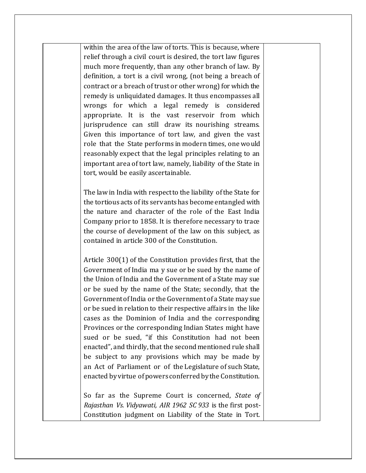within the area of the law of torts. This is because, where relief through a civil court is desired, the tort law figures much more frequently, than any other branch of law. By definition, a tort is a civil wrong, (not being a breach of contract or a breach of trust or other wrong) for which the remedy is unliquidated damages. It thus encompasses all wrongs for which a legal remedy is considered appropriate. It is the vast reservoir from which jurisprudence can still draw its nourishing streams. Given this importance of tort law, and given the vast role that the State performs in modern times, one would reasonably expect that the legal principles relating to an important area of tort law, namely, liability of the State in tort, would be easily ascertainable.

The law in India with respect to the liability of the State for the tortious acts of its servants has become entangled with the nature and character of the role of the East India Company prior to 1858. It is therefore necessary to trace the course of development of the law on this subject, as contained in article 300 of the Constitution.

Article 300(1) of the Constitution provides first, that the Government of India ma y sue or be sued by the name of the Union of India and the Government of a State may sue or be sued by the name of the State; secondly, that the Government of India or the Government of a State may sue or be sued in relation to their respective affairs in the like cases as the Dominion of India and the corresponding Provinces or the corresponding Indian States might have sued or be sued, "if this Constitution had not been enacted", and thirdly, that the second mentioned rule shall be subject to any provisions which may be made by an Act of Parliament or of the Legislature of such State, enacted by virtue of powers conferred by the Constitution.

So far as the Supreme Court is concerned, *State of Rajasthan Vs. Vidyawati, AIR 1962 SC 933* is the first post-Constitution judgment on Liability of the State in Tort.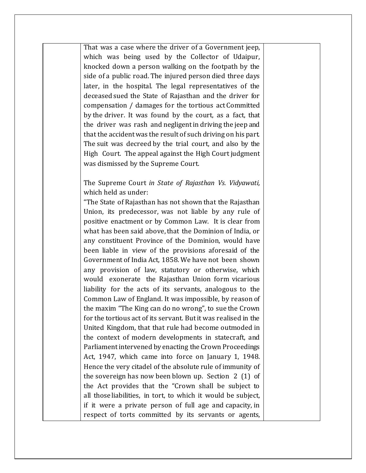That was a case where the driver of a Government jeep, which was being used by the Collector of Udaipur, knocked down a person walking on the footpath by the side of a public road. The injured person died three days later, in the hospital. The legal representatives of the deceased sued the State of Rajasthan and the driver for compensation / damages for the tortious act Committed by the driver. It was found by the court, as a fact, that the driver was rash and negligent in driving the jeep and that the accident was the result of such driving on his part. The suit was decreed by the trial court, and also by the High Court. The appeal against the High Court judgment was dismissed by the Supreme Court.

#### The Supreme Court *in State of Rajasthan Vs. Vidyawati,* which held as under:

"The State of Rajasthan has not shown that the Rajasthan Union, its predecessor, was not liable by any rule of positive enactment or by Common Law. It is clear from what has been said above, that the Dominion of India, or any constituent Province of the Dominion, would have been liable in view of the provisions aforesaid of the Government of India Act, 1858. We have not been shown any provision of law, statutory or otherwise, which would exonerate the Rajasthan Union form vicarious liability for the acts of its servants, analogous to the Common Law of England. It was impossible, by reason of the maxim "The King can do no wrong", to sue the Crown for the tortious act of its servant. But it was realised in the United Kingdom, that that rule had become outmoded in the context of modern developments in statecraft, and Parliament intervened by enacting the Crown Proceedings Act, 1947, which came into force on January 1, 1948. Hence the very citadel of the absolute rule of immunity of the sovereign has now been blown up. Section 2 (1) of the Act provides that the "Crown shall be subject to all those liabilities, in tort, to which it would be subject, if it were a private person of full age and capacity, in respect of torts committed by its servants or agents,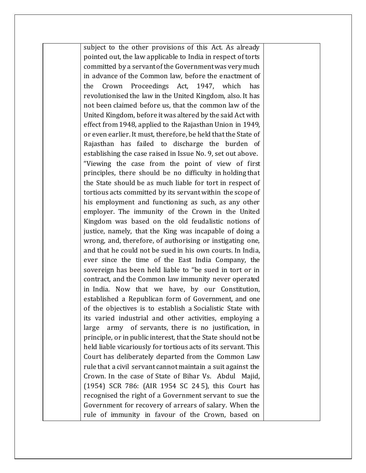subject to the other provisions of this Act. As already pointed out, the law applicable to India in respect of torts committed by a servant of the Government was very much in advance of the Common law, before the enactment of the Crown Proceedings Act, 1947, which has revolutionised the law in the United Kingdom, also. It has not been claimed before us, that the common law of the United Kingdom, before it was altered by the said Act with effect from 1948, applied to the Rajasthan Union in 1949, or even earlier. It must, therefore, be held that the State of Rajasthan has failed to discharge the burden of establishing the case raised in Issue No. 9, set out above. "Viewing the case from the point of view of first principles, there should be no difficulty in holding that the State should be as much liable for tort in respect of tortious acts committed by its servant within the scope of his employment and functioning as such, as any other employer. The immunity of the Crown in the United Kingdom was based on the old feudalistic notions of justice, namely, that the King was incapable of doing a wrong, and, therefore, of authorising or instigating one, and that he could not be sued in his own courts. In India, ever since the time of the East India Company, the sovereign has been held liable to "be sued in tort or in contract, and the Common law immunity never operated in India. Now that we have, by our Constitution, established a Republican form of Government, and one of the objectives is to establish a Socialistic State with its varied industrial and other activities, employing a large army of servants, there is no justification, in principle, or in public interest, that the State should not be held liable vicariously for tortious acts of its servant. This Court has deliberately departed from the Common Law rule that a civil servant cannot maintain a suit against the Crown. In the case of State of Bihar Vs. Abdul Majid, (1954) SCR 786: (AIR 1954 SC 24 5), this Court has recognised the right of a Government servant to sue the Government for recovery of arrears of salary. When the rule of immunity in favour of the Crown, based on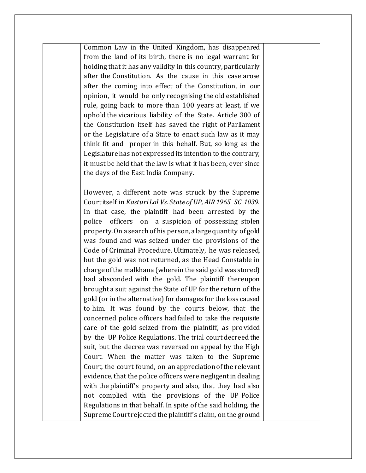Common Law in the United Kingdom, has disappeared from the land of its birth, there is no legal warrant for holding that it has any validity in this country, particularly after the Constitution. As the cause in this case arose after the coming into effect of the Constitution, in our opinion, it would be only recognising the old established rule, going back to more than 100 years at least, if we uphold the vicarious liability of the State. Article 300 of the Constitution itself has saved the right of Parliament or the Legislature of a State to enact such law as it may think fit and proper in this behalf. But, so long as the Legislature has not expressed its intention to the contrary, it must be held that the law is what it has been, ever since the days of the East India Company.

However, a different note was struck by the Supreme Court itself in *Kasturi Lal Vs. State of UP, AIR 1965 SC 1039.* In that case, the plaintiff had been arrested by the police officers on a suspicion of possessing stolen property. On a search of his person, a large quantity of gold was found and was seized under the provisions of the Code of Criminal Procedure. Ultimately, he was released, but the gold was not returned, as the Head Constable in charge of the malkhana (wherein the said gold was stored) had absconded with the gold. The plaintiff thereupon brought a suit against the State of UP for the return of the gold (or in the alternative) for damages for the loss caused to him. It was found by the courts below, that the concerned police officers had failed to take the requisite care of the gold seized from the plaintiff, as provided by the UP Police Regulations. The trial court decreed the suit, but the decree was reversed on appeal by the High Court. When the matter was taken to the Supreme Court, the court found, on an appreciation of the relevant evidence, that the police officers were negligent in dealing with the plaintiff's property and also, that they had also not complied with the provisions of the UP Police Regulations in that behalf. In spite of the said holding, the Supreme Court rejected the plaintiff's claim, on the ground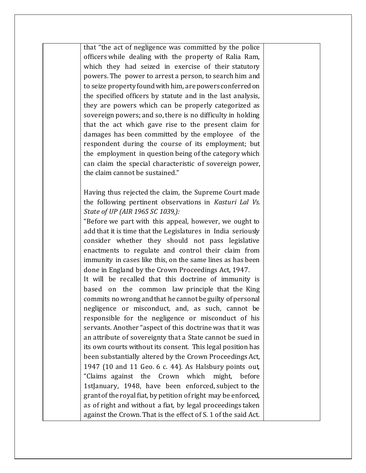that "the act of negligence was committed by the police officers while dealing with the property of Ralia Ram, which they had seized in exercise of their statutory powers. The power to arrest a person, to search him and to seize property found with him, are powers conferred on the specified officers by statute and in the last analysis, they are powers which can be properly categorized as sovereign powers; and so, there is no difficulty in holding that the act which gave rise to the present claim for damages has been committed by the employee of the respondent during the course of its employment; but the employment in question being of the category which can claim the special characteristic of sovereign power, the claim cannot be sustained."

Having thus rejected the claim, the Supreme Court made the following pertinent observations in *Kasturi Lal Vs. State of UP (AIR 1965 SC 1039,):*

"Before we part with this appeal, however, we ought to add that it is time that the Legislatures in India seriously consider whether they should not pass legislative enactments to regulate and control their claim from immunity in cases like this, on the same lines as has been done in England by the Crown Proceedings Act, 1947.

It will be recalled that this doctrine of immunity is based on the common law principle that the King commits no wrong and that he cannot be guilty of personal negligence or misconduct, and, as such, cannot be responsible for the negligence or misconduct of his servants. Another "aspect of this doctrine was that it was an attribute of sovereignty that a State cannot be sued in its own courts without its consent. This legal position has been substantially altered by the Crown Proceedings Act, 1947 (10 and 11 Geo. 6 c. 44). As Halsbury points out, "Claims against the Crown which might, before 1stJanuary, 1948, have been enforced, subject to the grant of the royal fiat, by petition of right may be enforced, as of right and without a fiat, by legal proceedings taken against the Crown. That is the effect of S. 1 of the said Act.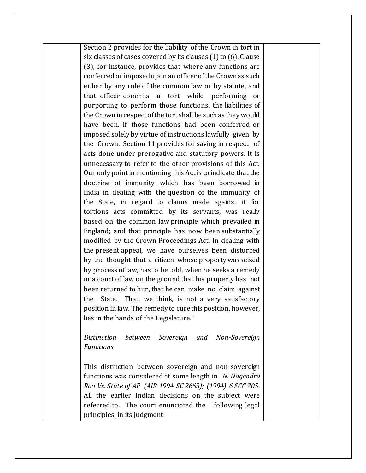Section 2 provides for the liability of the Crown in tort in six classes of cases covered by its clauses (1) to (6). Clause (3), for instance, provides that where any functions are conferred or imposed upon an officer of the Crown as such either by any rule of the common law or by statute, and that officer commits a tort while performing or purporting to perform those functions, the liabilities of the Crown in respect of the tort shall be such as they would have been, if those functions had been conferred or imposed solely by virtue of instructions lawfully given by the Crown. Section 11 provides for saving in respect of acts done under prerogative and statutory powers. It is unnecessary to refer to the other provisions of this Act. Our only point in mentioning this Act is to indicate that the doctrine of immunity which has been borrowed in India in dealing with the question of the immunity of the State, in regard to claims made against it for tortious acts committed by its servants, was really based on the common law principle which prevailed in England; and that principle has now been substantially modified by the Crown Proceedings Act. In dealing with the present appeal, we have ourselves been disturbed by the thought that a citizen whose property was seized by process of law, has to be told, when he seeks a remedy in a court of law on the ground that his property has not been returned to him, that he can make no claim against the State. That, we think, is not a very satisfactory position in law. The remedy to cure this position, however, lies in the hands of the Legislature."

*Distinction between Sovereign and Non-Sovereign Functions* 

This distinction between sovereign and non-sovereign functions was considered at some length in *N. Nagendra Rao Vs. State of AP (AIR 1994 SC 2663); (1994) 6 SCC 205*. All the earlier Indian decisions on the subject were referred to. The court enunciated the following legal principles, in its judgment: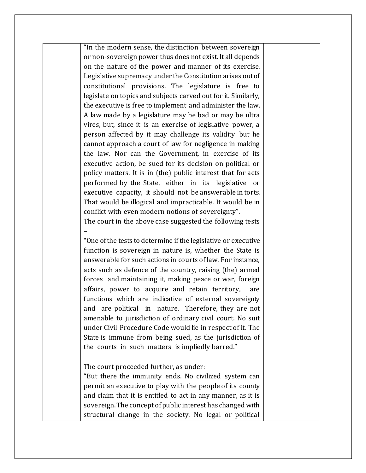"In the modern sense, the distinction between sovereign or non-sovereign power thus does not exist. It all depends on the nature of the power and manner of its exercise. Legislative supremacy under the Constitution arises out of constitutional provisions. The legislature is free to legislate on topics and subjects carved out for it. Similarly, the executive is free to implement and administer the law. A law made by a legislature may be bad or may be ultra vires, but, since it is an exercise of legislative power, a person affected by it may challenge its validity but he cannot approach a court of law for negligence in making the law. Nor can the Government, in exercise of its executive action, be sued for its decision on political or policy matters. It is in (the) public interest that for acts performed by the State, either in its legislative or executive capacity, it should not be answerable in torts. That would be illogical and impracticable. It would be in conflict with even modern notions of sovereignty".

The court in the above case suggested the following tests

"One of the tests to determine if the legislative or executive function is sovereign in nature is, whether the State is answerable for such actions in courts of law. For instance, acts such as defence of the country, raising (the) armed forces and maintaining it, making peace or war, foreign affairs, power to acquire and retain territory, are functions which are indicative of external sovereignty and are political in nature. Therefore, they are not amenable to jurisdiction of ordinary civil court. No suit under Civil Procedure Code would lie in respect of it. The State is immune from being sued, as the jurisdiction of the courts in such matters is impliedly barred."

The court proceeded further, as under:

–

"But there the immunity ends. No civilized system can permit an executive to play with the people of its county and claim that it is entitled to act in any manner, as it is sovereign. The concept of public interest has changed with structural change in the society. No legal or political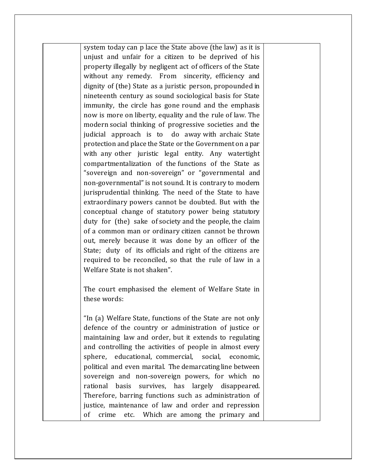system today can p lace the State above (the law) as it is unjust and unfair for a citizen to be deprived of his property illegally by negligent act of officers of the State without any remedy. From sincerity, efficiency and dignity of (the) State as a juristic person, propounded in nineteenth century as sound sociological basis for State immunity, the circle has gone round and the emphasis now is more on liberty, equality and the rule of law. The modern social thinking of progressive societies and the judicial approach is to do away with archaic State protection and place the State or the Government on a par with any other juristic legal entity. Any watertight compartmentalization of the functions of the State as "sovereign and non-sovereign" or "governmental and non-governmental" is not sound. It is contrary to modern jurisprudential thinking. The need of the State to have extraordinary powers cannot be doubted. But with the conceptual change of statutory power being statutory duty for (the) sake of society and the people, the claim of a common man or ordinary citizen cannot be thrown out, merely because it was done by an officer of the State; duty of its officials and right of the citizens are required to be reconciled, so that the rule of law in a Welfare State is not shaken".

The court emphasised the element of Welfare State in these words:

"In (a) Welfare State, functions of the State are not only defence of the country or administration of justice or maintaining law and order, but it extends to regulating and controlling the activities of people in almost every sphere, educational, commercial, social, economic, political and even marital. The demarcating line between sovereign and non-sovereign powers, for which no rational basis survives, has largely disappeared. Therefore, barring functions such as administration of justice, maintenance of law and order and repression of crime etc. Which are among the primary and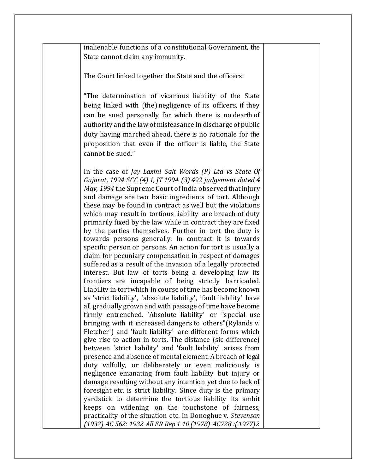inalienable functions of a constitutional Government, the State cannot claim any immunity.

The Court linked together the State and the officers:

"The determination of vicarious liability of the State being linked with (the) negligence of its officers, if they can be sued personally for which there is no dearth of authority and the law of misfeasance in discharge of public duty having marched ahead, there is no rationale for the proposition that even if the officer is liable, the State cannot be sued."

In the case of *Jay Laxmi Salt Words (P) Ltd vs State Of Gujarat, 1994 SCC (4) 1, JT 1994 (3) 492 judgement dated 4 May, 1994* the Supreme Court of India observed that injury and damage are two basic ingredients of tort. Although these may be found in contract as well but the violations which may result in tortious liability are breach of duty primarily fixed by the law while in contract they are fixed by the parties themselves. Further in tort the duty is towards persons generally. In contract it is towards specific person or persons. An action for tort is usually a claim for pecuniary compensation in respect of damages suffered as a result of the invasion of a legally protected interest. But law of torts being a developing law its frontiers are incapable of being strictly barricaded. Liability in tort which in course of time has become known as 'strict liability', 'absolute liability', 'fault liability' have all gradually grown and with passage of time have become firmly entrenched. 'Absolute liability' or "special use bringing with it increased dangers to others"(Rylands v. Fletcher') and 'fault liability' are different forms which give rise to action in torts. The distance (sic difference) between 'strict liability' and 'fault liability' arises from presence and absence of mental element. A breach of legal duty wilfully, or deliberately or even maliciously is negligence emanating from fault liability but injury or damage resulting without any intention yet due to lack of foresight etc. is strict liability. Since duty is the primary yardstick to determine the tortious liability its ambit keeps on widening on the touchstone of fairness, practicality of the situation etc. In Donoghue v. *Stevenson (1932) AC 562: 1932 All ER Rep 1 10 (1978) AC728 :( 1977)2*